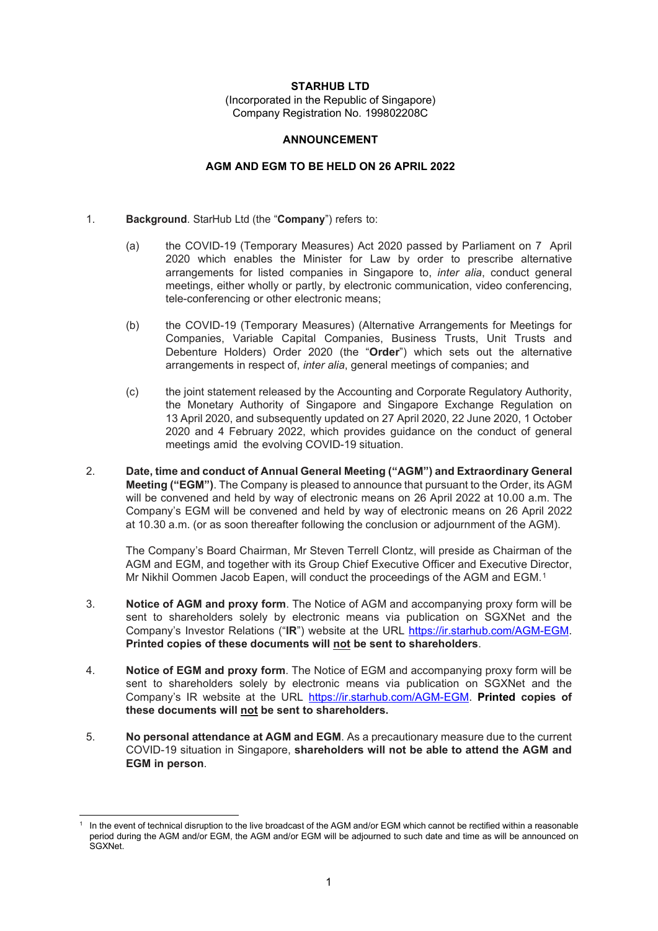### **STARHUB LTD**

(Incorporated in the Republic of Singapore) Company Registration No. 199802208C

#### **ANNOUNCEMENT**

### **AGM AND EGM TO BE HELD ON 26 APRIL 2022**

### 1. **Background**. StarHub Ltd (the "**Company**") refers to:

- (a) the COVID-19 (Temporary Measures) Act 2020 passed by Parliament on 7 April 2020 which enables the Minister for Law by order to prescribe alternative arrangements for listed companies in Singapore to, *inter alia*, conduct general meetings, either wholly or partly, by electronic communication, video conferencing, tele-conferencing or other electronic means;
- (b) the COVID-19 (Temporary Measures) (Alternative Arrangements for Meetings for Companies, Variable Capital Companies, Business Trusts, Unit Trusts and Debenture Holders) Order 2020 (the "**Order**") which sets out the alternative arrangements in respect of, *inter alia*, general meetings of companies; and
- (c) the joint statement released by the Accounting and Corporate Regulatory Authority, the Monetary Authority of Singapore and Singapore Exchange Regulation on 13 April 2020, and subsequently updated on 27 April 2020, 22 June 2020, 1 October 2020 and 4 February 2022, which provides guidance on the conduct of general meetings amid the evolving COVID-19 situation.
- 2. **Date, time and conduct of Annual General Meeting ("AGM") and Extraordinary General Meeting ("EGM")**. The Company is pleased to announce that pursuant to the Order, its AGM will be convened and held by way of electronic means on 26 April 2022 at 10.00 a.m. The Company's EGM will be convened and held by way of electronic means on 26 April 2022 at 10.30 a.m. (or as soon thereafter following the conclusion or adjournment of the AGM).

The Company's Board Chairman, Mr Steven Terrell Clontz, will preside as Chairman of the AGM and EGM, and together with its Group Chief Executive Officer and Executive Director, Mr Nikhil Oommen Jacob Eapen, will conduct the proceedings of the AGM and EGM.[1](#page-0-0)

- 3. **Notice of AGM and proxy form**. The Notice of AGM and accompanying proxy form will be sent to shareholders solely by electronic means via publication on SGXNet and the Company's Investor Relations ("**IR**") website at the URL<https://ir.starhub.com/AGM-EGM.> **Printed copies of these documents will not be sent to shareholders**.
- 4. **Notice of EGM and proxy form**. The Notice of EGM and accompanying proxy form will be sent to shareholders solely by electronic means via publication on SGXNet and the Company's IR website at the URL [https://ir.starhub.com/AGM-EGM.](https://ir.starhub.com/AGM-EGM) **Printed copies of these documents will not be sent to shareholders.**
- 5. **No personal attendance at AGM and EGM**. As a precautionary measure due to the current COVID-19 situation in Singapore, **shareholders will not be able to attend the AGM and EGM in person**.

<span id="page-0-0"></span><sup>1</sup> In the event of technical disruption to the live broadcast of the AGM and/or EGM which cannot be rectified within a reasonable period during the AGM and/or EGM, the AGM and/or EGM will be adjourned to such date and time as will be announced on SGXNet.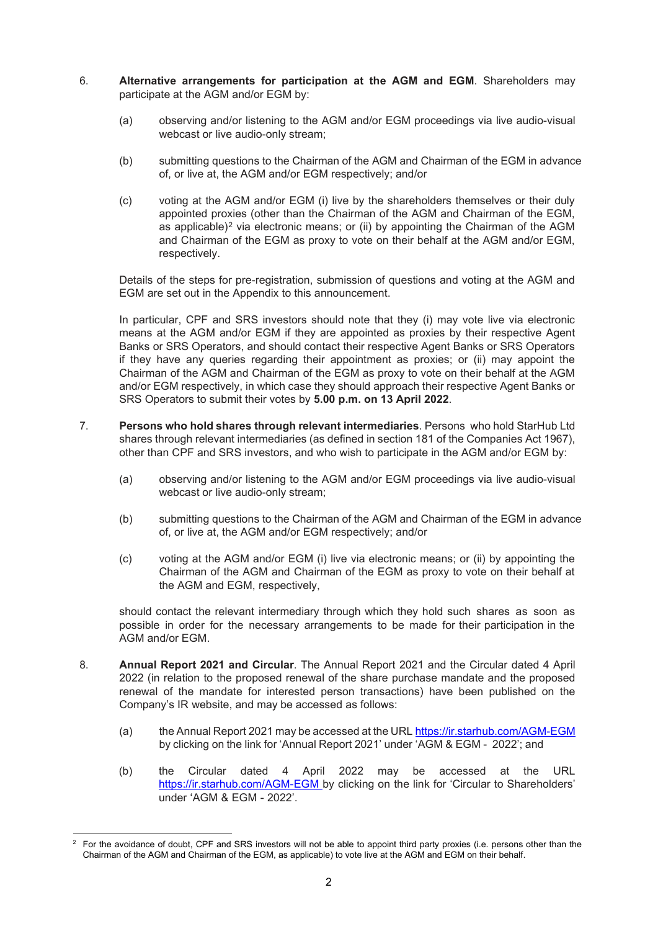- 6. **Alternative arrangements for participation at the AGM and EGM**. Shareholders may participate at the AGM and/or EGM by:
	- (a) observing and/or listening to the AGM and/or EGM proceedings via live audio-visual webcast or live audio-only stream;
	- (b) submitting questions to the Chairman of the AGM and Chairman of the EGM in advance of, or live at, the AGM and/or EGM respectively; and/or
	- (c) voting at the AGM and/or EGM (i) live by the shareholders themselves or their duly appointed proxies (other than the Chairman of the AGM and Chairman of the EGM, as applicable)<sup>[2](#page-1-0)</sup> via electronic means; or (ii) by appointing the Chairman of the AGM and Chairman of the EGM as proxy to vote on their behalf at the AGM and/or EGM, respectively.

Details of the steps for pre-registration, submission of questions and voting at the AGM and EGM are set out in the Appendix to this announcement.

In particular, CPF and SRS investors should note that they (i) may vote live via electronic means at the AGM and/or EGM if they are appointed as proxies by their respective Agent Banks or SRS Operators, and should contact their respective Agent Banks or SRS Operators if they have any queries regarding their appointment as proxies; or (ii) may appoint the Chairman of the AGM and Chairman of the EGM as proxy to vote on their behalf at the AGM and/or EGM respectively, in which case they should approach their respective Agent Banks or SRS Operators to submit their votes by **5.00 p.m. on 13 April 2022**.

- 7. **Persons who hold shares through relevant intermediaries**. Persons who hold StarHub Ltd shares through relevant intermediaries (as defined in section 181 of the Companies Act 1967), other than CPF and SRS investors, and who wish to participate in the AGM and/or EGM by:
	- (a) observing and/or listening to the AGM and/or EGM proceedings via live audio-visual webcast or live audio-only stream;
	- (b) submitting questions to the Chairman of the AGM and Chairman of the EGM in advance of, or live at, the AGM and/or EGM respectively; and/or
	- (c) voting at the AGM and/or EGM (i) live via electronic means; or (ii) by appointing the Chairman of the AGM and Chairman of the EGM as proxy to vote on their behalf at the AGM and EGM, respectively,

should contact the relevant intermediary through which they hold such shares as soon as possible in order for the necessary arrangements to be made for their participation in the AGM and/or EGM.

- 8. **Annual Report 2021 and Circular**. The Annual Report 2021 and the Circular dated 4 April 2022 (in relation to the proposed renewal of the share purchase mandate and the proposed renewal of the mandate for interested person transactions) have been published on the Company's IR website, and may be accessed as follows:
	- (a) the Annual Report 2021 may be accessed at the URL <https://ir.starhub.com/AGM-EGM> by clicking on the link for 'Annual Report 2021' under 'AGM & EGM - 2022'; and
	- (b) the Circular dated 4 April 2022 may be accessed at the URL [https://ir.starhub.com/AGM-EGM b](https://ir.starhub.com/AGM-EGM)y clicking on the link for 'Circular to Shareholders' under 'AGM & EGM - 2022'.

<span id="page-1-0"></span><sup>2</sup> For the avoidance of doubt, CPF and SRS investors will not be able to appoint third party proxies (i.e. persons other than the Chairman of the AGM and Chairman of the EGM, as applicable) to vote live at the AGM and EGM on their behalf.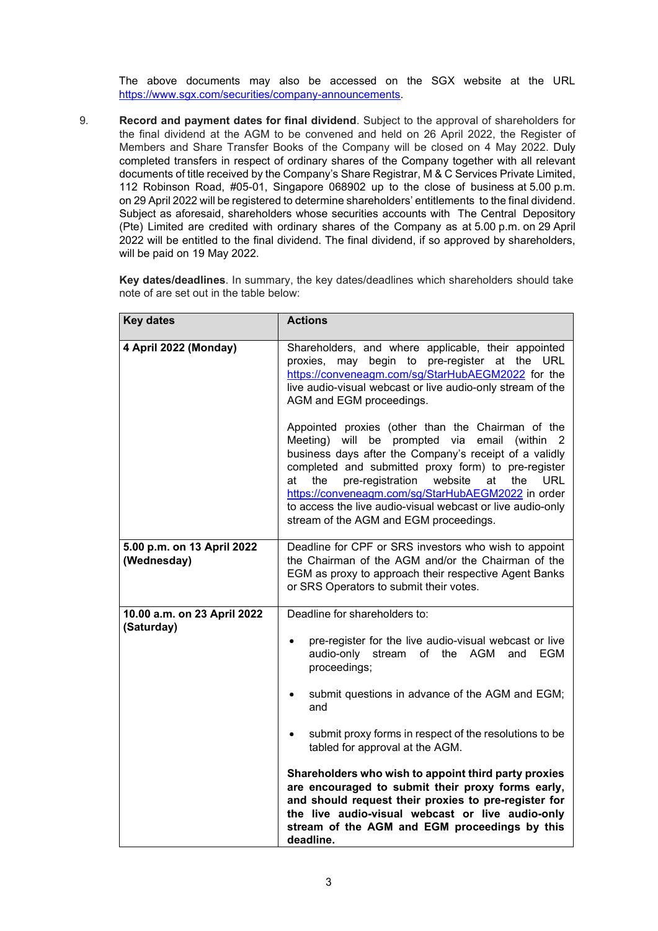The above documents may also be accessed on the SGX website at the URL [https://www.sgx.com/securities/company-announcements.](https://www.sgx.com/securities/company-announcements)

9. **Record and payment dates for final dividend**. Subject to the approval of shareholders for the final dividend at the AGM to be convened and held on 26 April 2022, the Register of Members and Share Transfer Books of the Company will be closed on 4 May 2022. Duly completed transfers in respect of ordinary shares of the Company together with all relevant documents of title received by the Company's Share Registrar, M & C Services Private Limited, 112 Robinson Road, #05-01, Singapore 068902 up to the close of business at 5.00 p.m. on 29 April 2022 will be registered to determine shareholders' entitlements to the final dividend. Subject as aforesaid, shareholders whose securities accounts with The Central Depository (Pte) Limited are credited with ordinary shares of the Company as at 5.00 p.m. on 29 April 2022 will be entitled to the final dividend. The final dividend, if so approved by shareholders, will be paid on 19 May 2022.

**Key dates/deadlines**. In summary, the key dates/deadlines which shareholders should take note of are set out in the table below:

| <b>Key dates</b>                          | <b>Actions</b>                                                                                                                                                                                                                                                                                                                                                                                                                                                                                                                                                                                             |
|-------------------------------------------|------------------------------------------------------------------------------------------------------------------------------------------------------------------------------------------------------------------------------------------------------------------------------------------------------------------------------------------------------------------------------------------------------------------------------------------------------------------------------------------------------------------------------------------------------------------------------------------------------------|
| 4 April 2022 (Monday)                     | Shareholders, and where applicable, their appointed<br>proxies, may begin to pre-register at the URL<br>https://conveneagm.com/sg/StarHubAEGM2022 for the<br>live audio-visual webcast or live audio-only stream of the<br>AGM and EGM proceedings.                                                                                                                                                                                                                                                                                                                                                        |
|                                           | Appointed proxies (other than the Chairman of the<br>Meeting) will be prompted via email<br>(within 2<br>business days after the Company's receipt of a validly<br>completed and submitted proxy form) to pre-register<br>pre-registration<br>website<br>the<br>the<br>at<br>URL<br>at<br>https://conveneagm.com/sg/StarHubAEGM2022 in order<br>to access the live audio-visual webcast or live audio-only<br>stream of the AGM and EGM proceedings.                                                                                                                                                       |
| 5.00 p.m. on 13 April 2022<br>(Wednesday) | Deadline for CPF or SRS investors who wish to appoint<br>the Chairman of the AGM and/or the Chairman of the<br>EGM as proxy to approach their respective Agent Banks<br>or SRS Operators to submit their votes.                                                                                                                                                                                                                                                                                                                                                                                            |
| 10.00 a.m. on 23 April 2022<br>(Saturday) | Deadline for shareholders to:<br>pre-register for the live audio-visual webcast or live<br>audio-only stream of the AGM<br><b>EGM</b><br>and<br>proceedings;<br>submit questions in advance of the AGM and EGM;<br>and<br>submit proxy forms in respect of the resolutions to be<br>tabled for approval at the AGM.<br>Shareholders who wish to appoint third party proxies<br>are encouraged to submit their proxy forms early,<br>and should request their proxies to pre-register for<br>the live audio-visual webcast or live audio-only<br>stream of the AGM and EGM proceedings by this<br>deadline. |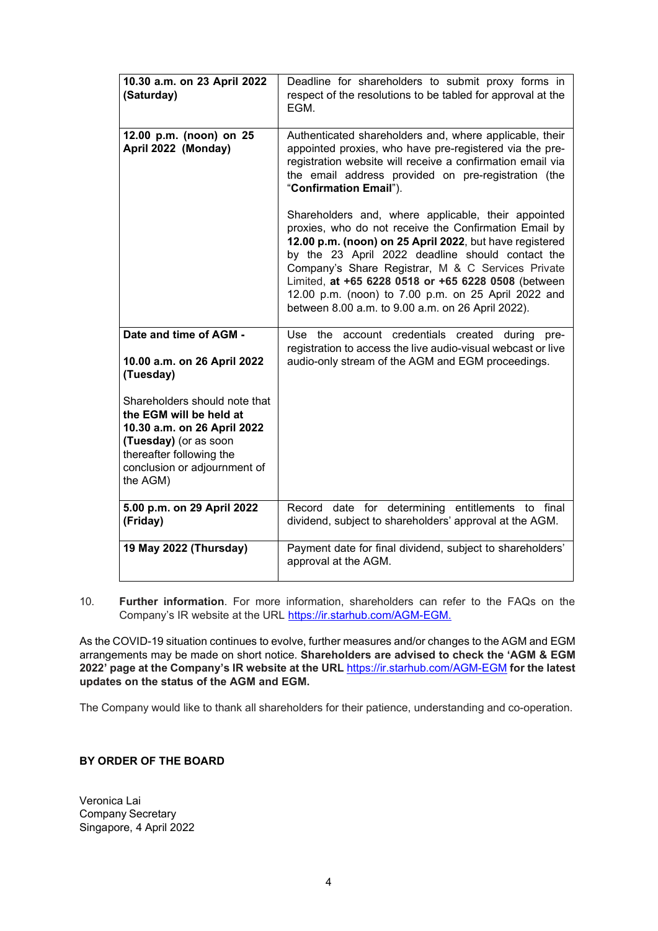| 10.30 a.m. on 23 April 2022<br>(Saturday)                                                                                                                                                | Deadline for shareholders to submit proxy forms in<br>respect of the resolutions to be tabled for approval at the<br>EGM.                                                                                                                                                                                                                                                                                                                           |
|------------------------------------------------------------------------------------------------------------------------------------------------------------------------------------------|-----------------------------------------------------------------------------------------------------------------------------------------------------------------------------------------------------------------------------------------------------------------------------------------------------------------------------------------------------------------------------------------------------------------------------------------------------|
| 12.00 p.m. (noon) on 25<br>April 2022 (Monday)                                                                                                                                           | Authenticated shareholders and, where applicable, their<br>appointed proxies, who have pre-registered via the pre-<br>registration website will receive a confirmation email via<br>the email address provided on pre-registration (the<br>"Confirmation Email").                                                                                                                                                                                   |
|                                                                                                                                                                                          | Shareholders and, where applicable, their appointed<br>proxies, who do not receive the Confirmation Email by<br>12.00 p.m. (noon) on 25 April 2022, but have registered<br>by the 23 April 2022 deadline should contact the<br>Company's Share Registrar, M & C Services Private<br>Limited, at +65 6228 0518 or +65 6228 0508 (between<br>12.00 p.m. (noon) to 7.00 p.m. on 25 April 2022 and<br>between 8.00 a.m. to 9.00 a.m. on 26 April 2022). |
| Date and time of AGM -<br>10.00 a.m. on 26 April 2022<br>(Tuesday)                                                                                                                       | Use the account credentials created during<br>pre-<br>registration to access the live audio-visual webcast or live<br>audio-only stream of the AGM and EGM proceedings.                                                                                                                                                                                                                                                                             |
| Shareholders should note that<br>the EGM will be held at<br>10.30 a.m. on 26 April 2022<br>(Tuesday) (or as soon<br>thereafter following the<br>conclusion or adjournment of<br>the AGM) |                                                                                                                                                                                                                                                                                                                                                                                                                                                     |
| 5.00 p.m. on 29 April 2022<br>(Friday)                                                                                                                                                   | date for determining entitlements to final<br>Record<br>dividend, subject to shareholders' approval at the AGM.                                                                                                                                                                                                                                                                                                                                     |
| 19 May 2022 (Thursday)                                                                                                                                                                   | Payment date for final dividend, subject to shareholders'<br>approval at the AGM.                                                                                                                                                                                                                                                                                                                                                                   |

10. **Further information**. For more information, shareholders can refer to the FAQs on the Company's IR website at the URL <https://ir.starhub.com/AGM-EGM.>

As the COVID-19 situation continues to evolve, further measures and/or changes to the AGM and EGM arrangements may be made on short notice. **Shareholders are advised to check the 'AGM & EGM 2022' page at the Company's IR website at the URL** <https://ir.starhub.com/AGM-EGM> **for the latest updates on the status of the AGM and EGM.**

The Company would like to thank all shareholders for their patience, understanding and co-operation.

## **BY ORDER OF THE BOARD**

Veronica Lai Company Secretary Singapore, 4 April 2022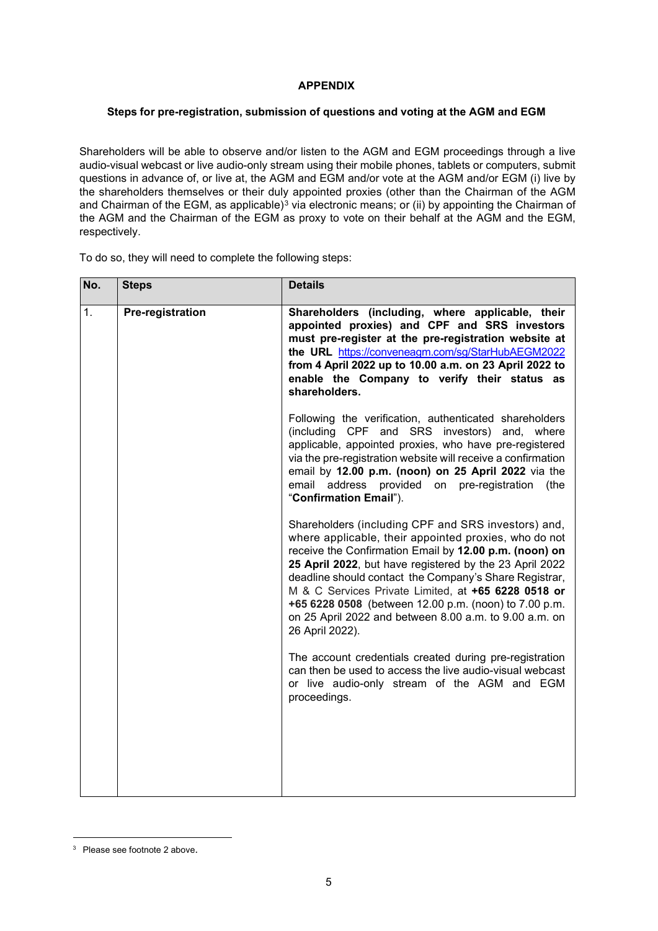# **APPENDIX**

# **Steps for pre-registration, submission of questions and voting at the AGM and EGM**

Shareholders will be able to observe and/or listen to the AGM and EGM proceedings through a live audio-visual webcast or live audio-only stream using their mobile phones, tablets or computers, submit questions in advance of, or live at, the AGM and EGM and/or vote at the AGM and/or EGM (i) live by the shareholders themselves or their duly appointed proxies (other than the Chairman of the AGM and Chairman of the EGM, as applicable)<sup>[3](#page-4-0)</sup> via electronic means; or (ii) by appointing the Chairman of the AGM and the Chairman of the EGM as proxy to vote on their behalf at the AGM and the EGM, respectively.

To do so, they will need to complete the following steps:

| No. | <b>Steps</b>     | <b>Details</b>                                                                                                                                                                                                                                                                                                                                                                                                                                                                           |
|-----|------------------|------------------------------------------------------------------------------------------------------------------------------------------------------------------------------------------------------------------------------------------------------------------------------------------------------------------------------------------------------------------------------------------------------------------------------------------------------------------------------------------|
| 1.  | Pre-registration | Shareholders (including, where applicable, their<br>appointed proxies) and CPF and SRS investors<br>must pre-register at the pre-registration website at<br>the URL https://conveneagm.com/sg/StarHubAEGM2022<br>from 4 April 2022 up to 10.00 a.m. on 23 April 2022 to<br>enable the Company to verify their status as<br>shareholders.                                                                                                                                                 |
|     |                  | Following the verification, authenticated shareholders<br>(including CPF and SRS investors) and, where<br>applicable, appointed proxies, who have pre-registered<br>via the pre-registration website will receive a confirmation<br>email by 12.00 p.m. (noon) on 25 April 2022 via the<br>address provided on pre-registration<br>email<br>(the<br>"Confirmation Email").                                                                                                               |
|     |                  | Shareholders (including CPF and SRS investors) and,<br>where applicable, their appointed proxies, who do not<br>receive the Confirmation Email by 12.00 p.m. (noon) on<br>25 April 2022, but have registered by the 23 April 2022<br>deadline should contact the Company's Share Registrar,<br>M & C Services Private Limited, at +65 6228 0518 or<br>+65 6228 0508 (between 12.00 p.m. (noon) to 7.00 p.m.<br>on 25 April 2022 and between 8.00 a.m. to 9.00 a.m. on<br>26 April 2022). |
|     |                  | The account credentials created during pre-registration<br>can then be used to access the live audio-visual webcast<br>or live audio-only stream of the AGM and EGM<br>proceedings.                                                                                                                                                                                                                                                                                                      |
|     |                  |                                                                                                                                                                                                                                                                                                                                                                                                                                                                                          |

<span id="page-4-0"></span><sup>3</sup> Please see footnote 2 above.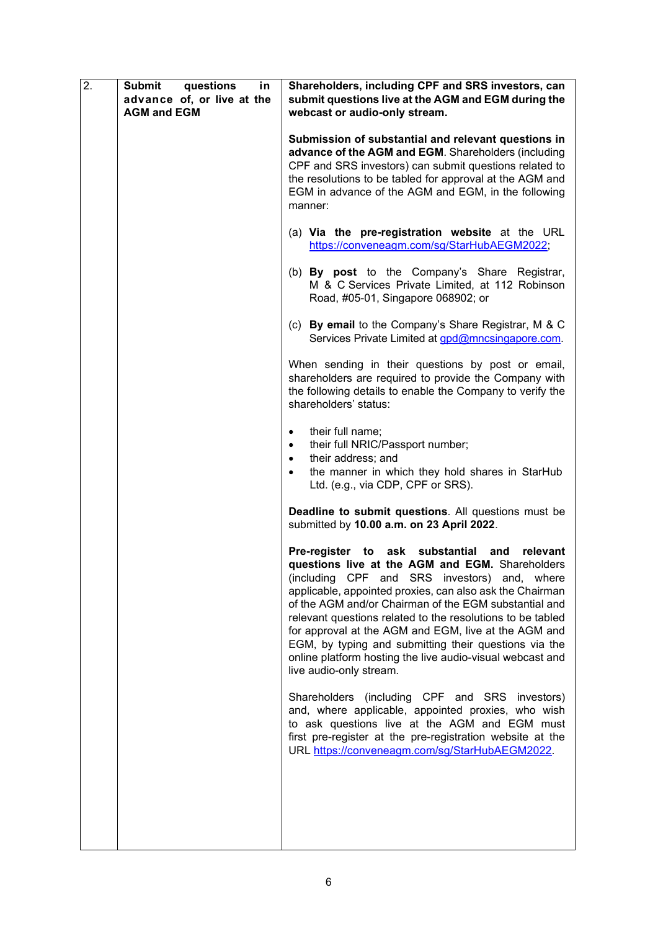| 2. | <b>Submit</b><br>questions<br>in<br>advance of, or live at the<br><b>AGM and EGM</b> | Shareholders, including CPF and SRS investors, can<br>submit questions live at the AGM and EGM during the<br>webcast or audio-only stream.                                                                                                                                                                                                                                                                                                                                                                                                        |
|----|--------------------------------------------------------------------------------------|---------------------------------------------------------------------------------------------------------------------------------------------------------------------------------------------------------------------------------------------------------------------------------------------------------------------------------------------------------------------------------------------------------------------------------------------------------------------------------------------------------------------------------------------------|
|    |                                                                                      | Submission of substantial and relevant questions in<br>advance of the AGM and EGM. Shareholders (including<br>CPF and SRS investors) can submit questions related to<br>the resolutions to be tabled for approval at the AGM and<br>EGM in advance of the AGM and EGM, in the following<br>manner:                                                                                                                                                                                                                                                |
|    |                                                                                      | (a) Via the pre-registration website at the URL<br>https://conveneagm.com/sg/StarHubAEGM2022;                                                                                                                                                                                                                                                                                                                                                                                                                                                     |
|    |                                                                                      | (b) By post to the Company's Share Registrar,<br>M & C Services Private Limited, at 112 Robinson<br>Road, #05-01, Singapore 068902; or                                                                                                                                                                                                                                                                                                                                                                                                            |
|    |                                                                                      | (c) By email to the Company's Share Registrar, M & C<br>Services Private Limited at gpd@mncsingapore.com.                                                                                                                                                                                                                                                                                                                                                                                                                                         |
|    |                                                                                      | When sending in their questions by post or email,<br>shareholders are required to provide the Company with<br>the following details to enable the Company to verify the<br>shareholders' status:                                                                                                                                                                                                                                                                                                                                                  |
|    |                                                                                      | their full name;<br>$\bullet$<br>their full NRIC/Passport number;<br>their address; and<br>the manner in which they hold shares in StarHub<br>Ltd. (e.g., via CDP, CPF or SRS).                                                                                                                                                                                                                                                                                                                                                                   |
|    |                                                                                      | Deadline to submit questions. All questions must be<br>submitted by 10.00 a.m. on 23 April 2022.                                                                                                                                                                                                                                                                                                                                                                                                                                                  |
|    |                                                                                      | Pre-register to<br>ask substantial and<br>relevant<br>questions live at the AGM and EGM. Shareholders<br>(including CPF and SRS investors) and, where<br>applicable, appointed proxies, can also ask the Chairman<br>of the AGM and/or Chairman of the EGM substantial and<br>relevant questions related to the resolutions to be tabled<br>for approval at the AGM and EGM, live at the AGM and<br>EGM, by typing and submitting their questions via the<br>online platform hosting the live audio-visual webcast and<br>live audio-only stream. |
|    |                                                                                      | Shareholders (including CPF and SRS investors)<br>and, where applicable, appointed proxies, who wish<br>to ask questions live at the AGM and EGM must<br>first pre-register at the pre-registration website at the<br>URL https://conveneagm.com/sg/StarHubAEGM2022.                                                                                                                                                                                                                                                                              |
|    |                                                                                      |                                                                                                                                                                                                                                                                                                                                                                                                                                                                                                                                                   |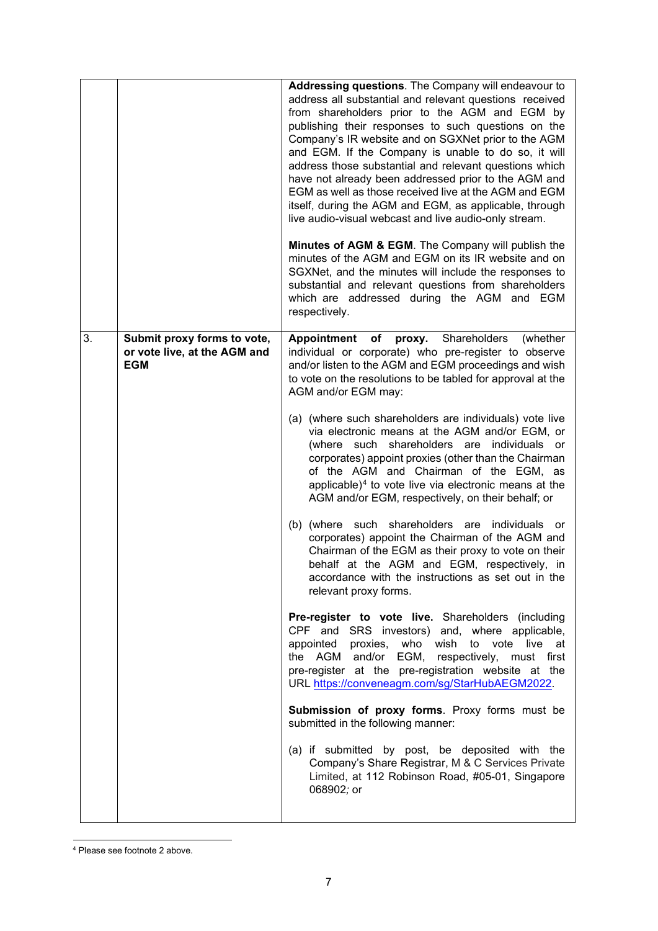|    |                                                                           | <b>Addressing questions.</b> The Company will endeavour to<br>address all substantial and relevant questions received<br>from shareholders prior to the AGM and EGM by<br>publishing their responses to such questions on the<br>Company's IR website and on SGXNet prior to the AGM<br>and EGM. If the Company is unable to do so, it will<br>address those substantial and relevant questions which<br>have not already been addressed prior to the AGM and<br>EGM as well as those received live at the AGM and EGM<br>itself, during the AGM and EGM, as applicable, through<br>live audio-visual webcast and live audio-only stream. |
|----|---------------------------------------------------------------------------|-------------------------------------------------------------------------------------------------------------------------------------------------------------------------------------------------------------------------------------------------------------------------------------------------------------------------------------------------------------------------------------------------------------------------------------------------------------------------------------------------------------------------------------------------------------------------------------------------------------------------------------------|
|    |                                                                           | Minutes of AGM & EGM. The Company will publish the<br>minutes of the AGM and EGM on its IR website and on<br>SGXNet, and the minutes will include the responses to<br>substantial and relevant questions from shareholders<br>which are addressed during the AGM and EGM<br>respectively.                                                                                                                                                                                                                                                                                                                                                 |
| 3. | Submit proxy forms to vote,<br>or vote live, at the AGM and<br><b>EGM</b> | of proxy. Shareholders<br>Appointment<br>(whether<br>individual or corporate) who pre-register to observe<br>and/or listen to the AGM and EGM proceedings and wish<br>to vote on the resolutions to be tabled for approval at the<br>AGM and/or EGM may:                                                                                                                                                                                                                                                                                                                                                                                  |
|    |                                                                           | (a) (where such shareholders are individuals) vote live<br>via electronic means at the AGM and/or EGM, or<br>(where such shareholders are individuals or<br>corporates) appoint proxies (other than the Chairman<br>of the AGM and Chairman of the EGM, as<br>applicable) $4$ to vote live via electronic means at the<br>AGM and/or EGM, respectively, on their behalf; or                                                                                                                                                                                                                                                               |
|    |                                                                           | (b) (where such shareholders are individuals or<br>corporates) appoint the Chairman of the AGM and<br>Chairman of the EGM as their proxy to vote on their<br>behalf at the AGM and EGM, respectively, in<br>accordance with the instructions as set out in the<br>relevant proxy forms.                                                                                                                                                                                                                                                                                                                                                   |
|    |                                                                           | Pre-register to vote live. Shareholders (including<br>CPF and SRS investors) and, where applicable,<br>appointed proxies, who wish to vote<br>live at<br>the AGM and/or EGM, respectively, must first<br>pre-register at the pre-registration website at the<br>URL https://conveneagm.com/sg/StarHubAEGM2022.                                                                                                                                                                                                                                                                                                                            |
|    |                                                                           | Submission of proxy forms. Proxy forms must be<br>submitted in the following manner:                                                                                                                                                                                                                                                                                                                                                                                                                                                                                                                                                      |
|    |                                                                           | (a) if submitted by post, be deposited with the<br>Company's Share Registrar, M & C Services Private<br>Limited, at 112 Robinson Road, #05-01, Singapore<br>068902; or                                                                                                                                                                                                                                                                                                                                                                                                                                                                    |

<span id="page-6-0"></span><sup>4</sup> Please see footnote 2 above.